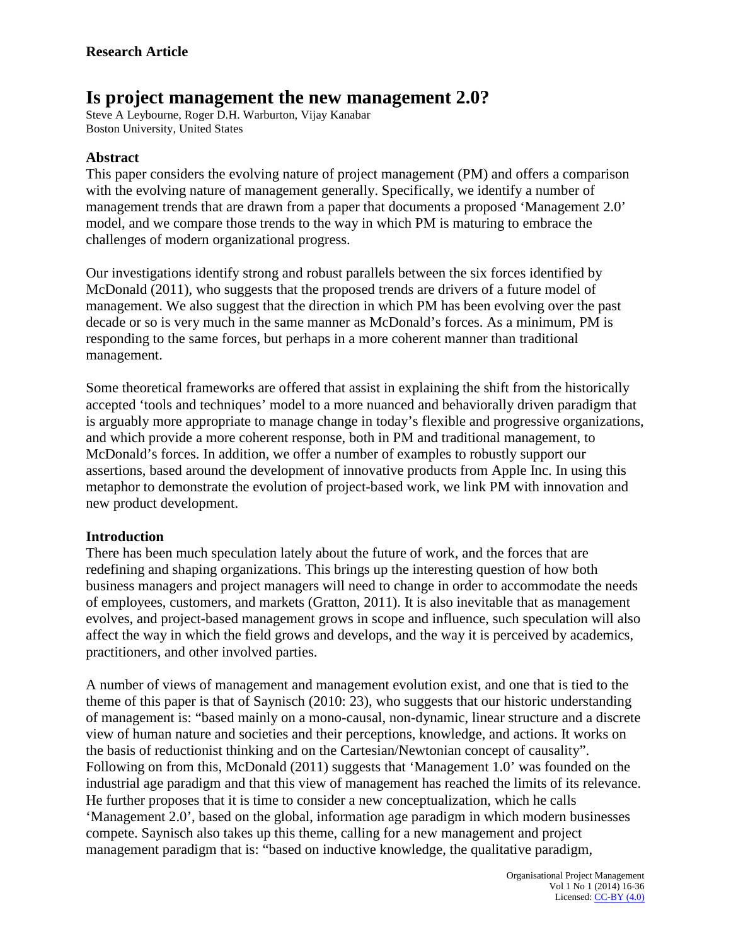# **Is project management the new management 2.0?**

Steve A Leybourne, Roger D.H. Warburton, Vijay Kanabar Boston University, United States

### **Abstract**

This paper considers the evolving nature of project management (PM) and offers a comparison with the evolving nature of management generally. Specifically, we identify a number of management trends that are drawn from a paper that documents a proposed 'Management 2.0' model, and we compare those trends to the way in which PM is maturing to embrace the challenges of modern organizational progress.

Our investigations identify strong and robust parallels between the six forces identified by McDonald (2011), who suggests that the proposed trends are drivers of a future model of management. We also suggest that the direction in which PM has been evolving over the past decade or so is very much in the same manner as McDonald's forces. As a minimum, PM is responding to the same forces, but perhaps in a more coherent manner than traditional management.

Some theoretical frameworks are offered that assist in explaining the shift from the historically accepted 'tools and techniques' model to a more nuanced and behaviorally driven paradigm that is arguably more appropriate to manage change in today's flexible and progressive organizations, and which provide a more coherent response, both in PM and traditional management, to McDonald's forces. In addition, we offer a number of examples to robustly support our assertions, based around the development of innovative products from Apple Inc. In using this metaphor to demonstrate the evolution of project-based work, we link PM with innovation and new product development.

### **Introduction**

There has been much speculation lately about the future of work, and the forces that are redefining and shaping organizations. This brings up the interesting question of how both business managers and project managers will need to change in order to accommodate the needs of employees, customers, and markets (Gratton, 2011). It is also inevitable that as management evolves, and project-based management grows in scope and influence, such speculation will also affect the way in which the field grows and develops, and the way it is perceived by academics, practitioners, and other involved parties.

A number of views of management and management evolution exist, and one that is tied to the theme of this paper is that of Saynisch (2010: 23), who suggests that our historic understanding of management is: "based mainly on a mono-causal, non-dynamic, linear structure and a discrete view of human nature and societies and their perceptions, knowledge, and actions. It works on the basis of reductionist thinking and on the Cartesian/Newtonian concept of causality". Following on from this, McDonald (2011) suggests that 'Management 1.0' was founded on the industrial age paradigm and that this view of management has reached the limits of its relevance. He further proposes that it is time to consider a new conceptualization, which he calls 'Management 2.0', based on the global, information age paradigm in which modern businesses compete. Saynisch also takes up this theme, calling for a new management and project management paradigm that is: "based on inductive knowledge, the qualitative paradigm,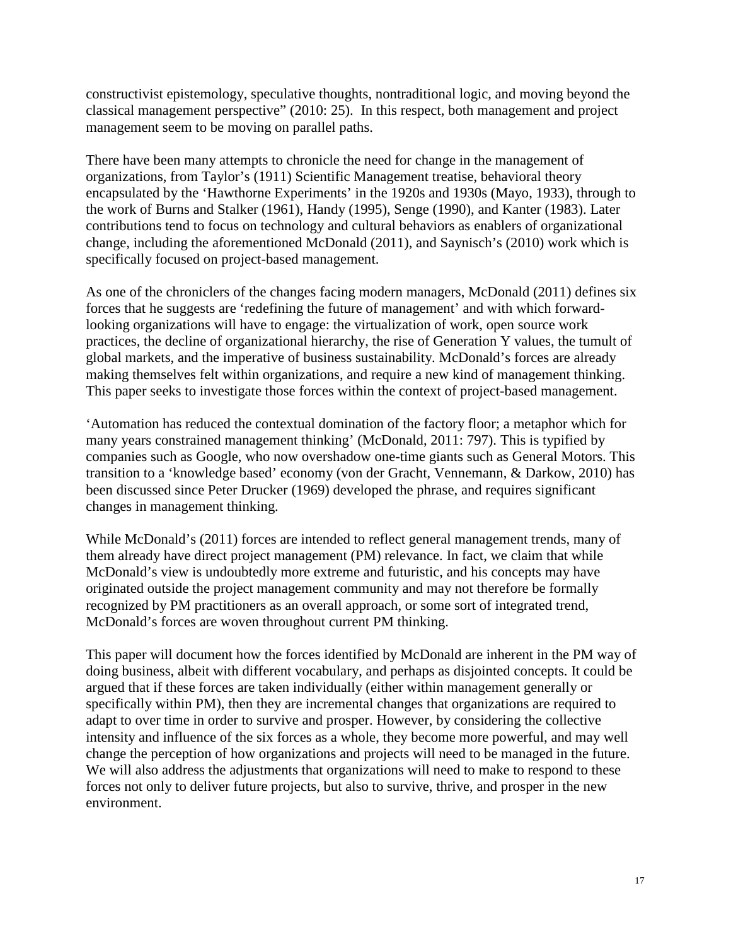constructivist epistemology, speculative thoughts, nontraditional logic, and moving beyond the classical management perspective" (2010: 25). In this respect, both management and project management seem to be moving on parallel paths.

There have been many attempts to chronicle the need for change in the management of organizations, from Taylor's (1911) Scientific Management treatise, behavioral theory encapsulated by the 'Hawthorne Experiments' in the 1920s and 1930s (Mayo, 1933), through to the work of Burns and Stalker (1961), Handy (1995), Senge (1990), and Kanter (1983). Later contributions tend to focus on technology and cultural behaviors as enablers of organizational change, including the aforementioned McDonald (2011), and Saynisch's (2010) work which is specifically focused on project-based management.

As one of the chroniclers of the changes facing modern managers, McDonald (2011) defines six forces that he suggests are 'redefining the future of management' and with which forwardlooking organizations will have to engage: the virtualization of work, open source work practices, the decline of organizational hierarchy, the rise of Generation Y values, the tumult of global markets, and the imperative of business sustainability. McDonald's forces are already making themselves felt within organizations, and require a new kind of management thinking. This paper seeks to investigate those forces within the context of project-based management.

'Automation has reduced the contextual domination of the factory floor; a metaphor which for many years constrained management thinking' (McDonald, 2011: 797). This is typified by companies such as Google, who now overshadow one-time giants such as General Motors. This transition to a 'knowledge based' economy (von der Gracht, Vennemann, & Darkow, 2010) has been discussed since Peter Drucker (1969) developed the phrase, and requires significant changes in management thinking.

While McDonald's (2011) forces are intended to reflect general management trends, many of them already have direct project management (PM) relevance. In fact, we claim that while McDonald's view is undoubtedly more extreme and futuristic, and his concepts may have originated outside the project management community and may not therefore be formally recognized by PM practitioners as an overall approach, or some sort of integrated trend, McDonald's forces are woven throughout current PM thinking.

This paper will document how the forces identified by McDonald are inherent in the PM way of doing business, albeit with different vocabulary, and perhaps as disjointed concepts. It could be argued that if these forces are taken individually (either within management generally or specifically within PM), then they are incremental changes that organizations are required to adapt to over time in order to survive and prosper. However, by considering the collective intensity and influence of the six forces as a whole, they become more powerful, and may well change the perception of how organizations and projects will need to be managed in the future. We will also address the adjustments that organizations will need to make to respond to these forces not only to deliver future projects, but also to survive, thrive, and prosper in the new environment.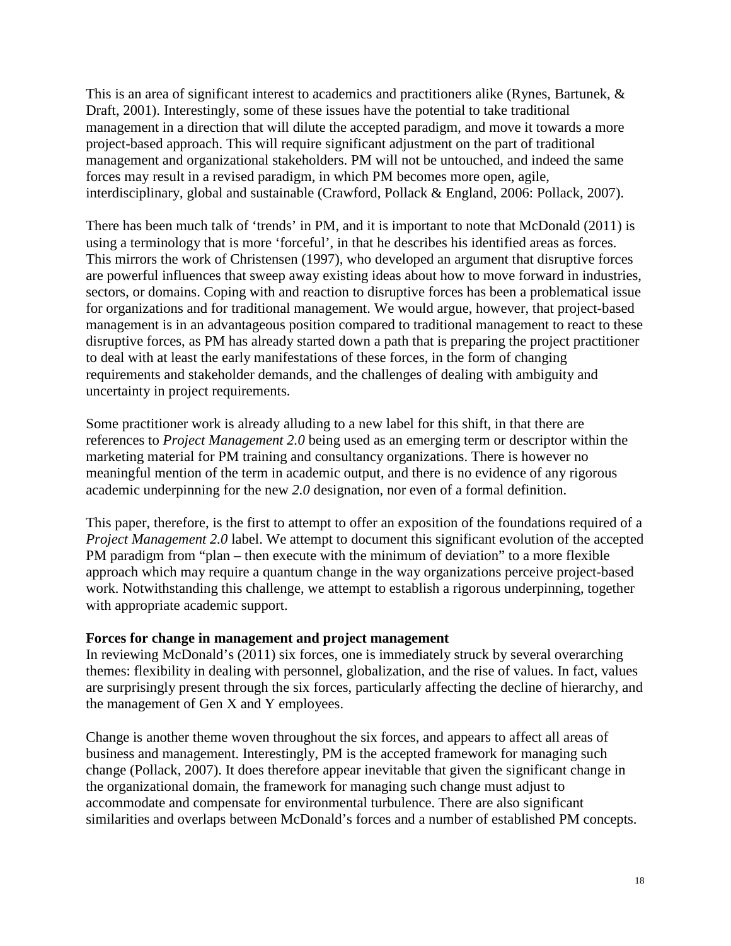This is an area of significant interest to academics and practitioners alike (Rynes, Bartunek, & Draft, 2001). Interestingly, some of these issues have the potential to take traditional management in a direction that will dilute the accepted paradigm, and move it towards a more project-based approach. This will require significant adjustment on the part of traditional management and organizational stakeholders. PM will not be untouched, and indeed the same forces may result in a revised paradigm, in which PM becomes more open, agile, interdisciplinary, global and sustainable (Crawford, Pollack & England, 2006: Pollack, 2007).

There has been much talk of 'trends' in PM, and it is important to note that McDonald (2011) is using a terminology that is more 'forceful', in that he describes his identified areas as forces. This mirrors the work of Christensen (1997), who developed an argument that disruptive forces are powerful influences that sweep away existing ideas about how to move forward in industries, sectors, or domains. Coping with and reaction to disruptive forces has been a problematical issue for organizations and for traditional management. We would argue, however, that project-based management is in an advantageous position compared to traditional management to react to these disruptive forces, as PM has already started down a path that is preparing the project practitioner to deal with at least the early manifestations of these forces, in the form of changing requirements and stakeholder demands, and the challenges of dealing with ambiguity and uncertainty in project requirements.

Some practitioner work is already alluding to a new label for this shift, in that there are references to *Project Management 2.0* being used as an emerging term or descriptor within the marketing material for PM training and consultancy organizations. There is however no meaningful mention of the term in academic output, and there is no evidence of any rigorous academic underpinning for the new *2.0* designation, nor even of a formal definition.

This paper, therefore, is the first to attempt to offer an exposition of the foundations required of a *Project Management 2.0* label. We attempt to document this significant evolution of the accepted PM paradigm from "plan – then execute with the minimum of deviation" to a more flexible approach which may require a quantum change in the way organizations perceive project-based work. Notwithstanding this challenge, we attempt to establish a rigorous underpinning, together with appropriate academic support.

### **Forces for change in management and project management**

In reviewing McDonald's (2011) six forces, one is immediately struck by several overarching themes: flexibility in dealing with personnel, globalization, and the rise of values. In fact, values are surprisingly present through the six forces, particularly affecting the decline of hierarchy, and the management of Gen X and Y employees.

Change is another theme woven throughout the six forces, and appears to affect all areas of business and management. Interestingly, PM is the accepted framework for managing such change (Pollack, 2007). It does therefore appear inevitable that given the significant change in the organizational domain, the framework for managing such change must adjust to accommodate and compensate for environmental turbulence. There are also significant similarities and overlaps between McDonald's forces and a number of established PM concepts.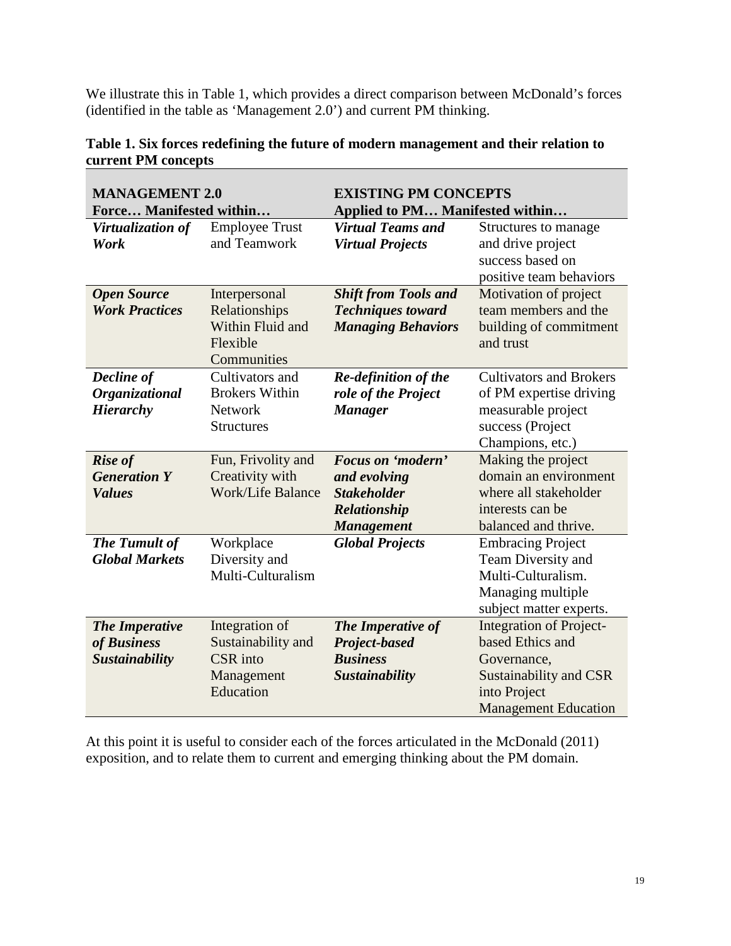We illustrate this in Table 1, which provides a direct comparison between McDonald's forces (identified in the table as 'Management 2.0') and current PM thinking.

| <b>MANAGEMENT 2.0</b><br>Force Manifested within |                                       | <b>EXISTING PM CONCEPTS</b><br>Applied to PM Manifested within |                                           |
|--------------------------------------------------|---------------------------------------|----------------------------------------------------------------|-------------------------------------------|
| Virtualization of<br>Work                        | <b>Employee Trust</b><br>and Teamwork | <b>Virtual Teams and</b><br><b>Virtual Projects</b>            | Structures to manage<br>and drive project |
|                                                  |                                       |                                                                | success based on                          |
|                                                  |                                       |                                                                | positive team behaviors                   |
| <b>Open Source</b>                               | Interpersonal                         | <b>Shift from Tools and</b>                                    | Motivation of project                     |
| <b>Work Practices</b>                            | Relationships                         | <b>Techniques toward</b>                                       | team members and the                      |
|                                                  | Within Fluid and                      | <b>Managing Behaviors</b>                                      | building of commitment                    |
|                                                  | Flexible                              |                                                                | and trust                                 |
|                                                  | Communities                           |                                                                |                                           |
| Decline of                                       | Cultivators and                       | <b>Re-definition of the</b>                                    | <b>Cultivators and Brokers</b>            |
| Organizational                                   | <b>Brokers Within</b>                 | role of the Project                                            | of PM expertise driving                   |
| <b>Hierarchy</b>                                 | <b>Network</b>                        | <b>Manager</b>                                                 | measurable project                        |
|                                                  | <b>Structures</b>                     |                                                                | success (Project                          |
|                                                  |                                       |                                                                | Champions, etc.)                          |
| <b>Rise of</b>                                   | Fun, Frivolity and                    | Focus on 'modern'                                              | Making the project                        |
| <b>Generation Y</b>                              | Creativity with                       | and evolving                                                   | domain an environment                     |
| <b>Values</b>                                    | <b>Work/Life Balance</b>              | <b>Stakeholder</b>                                             | where all stakeholder                     |
|                                                  |                                       | Relationship                                                   | interests can be                          |
|                                                  |                                       | <b>Management</b>                                              | balanced and thrive.                      |
| <b>The Tumult of</b>                             | Workplace                             | <b>Global Projects</b>                                         | <b>Embracing Project</b>                  |
| <b>Global Markets</b>                            | Diversity and                         |                                                                | Team Diversity and                        |
|                                                  | Multi-Culturalism                     |                                                                | Multi-Culturalism.                        |
|                                                  |                                       |                                                                | Managing multiple                         |
|                                                  |                                       |                                                                | subject matter experts.                   |
| <b>The Imperative</b>                            | Integration of                        | The Imperative of                                              | <b>Integration of Project-</b>            |
| of Business                                      | Sustainability and                    | Project-based                                                  | based Ethics and                          |
| <b>Sustainability</b>                            | <b>CSR</b> into                       | <b>Business</b>                                                | Governance,                               |
|                                                  | Management                            | Sustainability                                                 | Sustainability and CSR                    |
|                                                  | Education                             |                                                                | into Project                              |
|                                                  |                                       |                                                                | <b>Management Education</b>               |

# **Table 1. Six forces redefining the future of modern management and their relation to current PM concepts**

At this point it is useful to consider each of the forces articulated in the McDonald (2011) exposition, and to relate them to current and emerging thinking about the PM domain.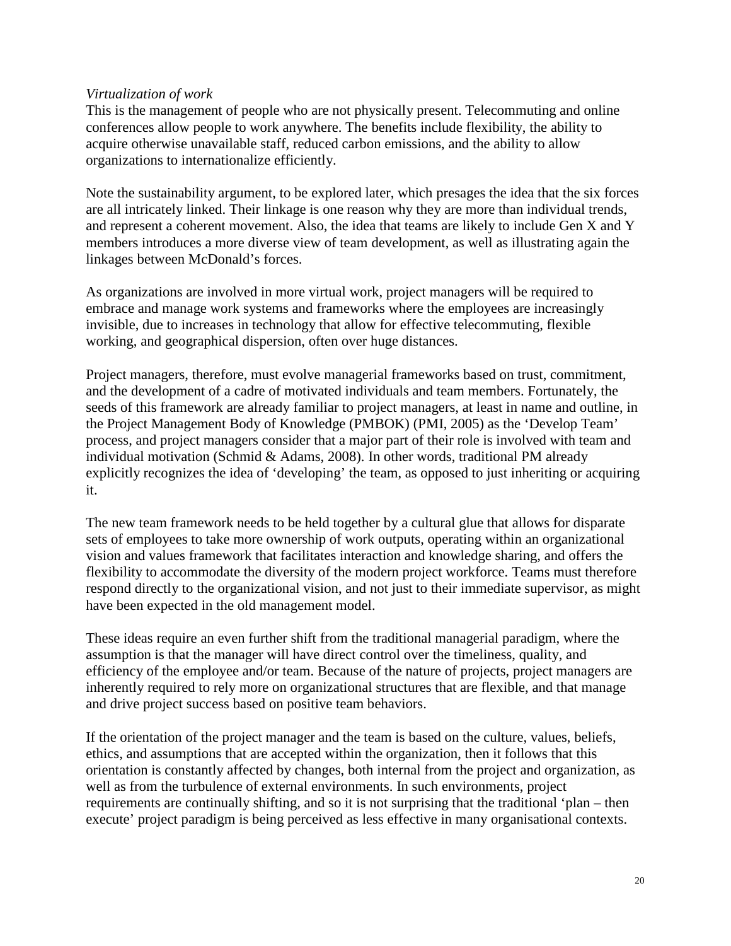#### *Virtualization of work*

This is the management of people who are not physically present. Telecommuting and online conferences allow people to work anywhere. The benefits include flexibility, the ability to acquire otherwise unavailable staff, reduced carbon emissions, and the ability to allow organizations to internationalize efficiently.

Note the sustainability argument, to be explored later, which presages the idea that the six forces are all intricately linked. Their linkage is one reason why they are more than individual trends, and represent a coherent movement. Also, the idea that teams are likely to include Gen X and Y members introduces a more diverse view of team development, as well as illustrating again the linkages between McDonald's forces.

As organizations are involved in more virtual work, project managers will be required to embrace and manage work systems and frameworks where the employees are increasingly invisible, due to increases in technology that allow for effective telecommuting, flexible working, and geographical dispersion, often over huge distances.

Project managers, therefore, must evolve managerial frameworks based on trust, commitment, and the development of a cadre of motivated individuals and team members. Fortunately, the seeds of this framework are already familiar to project managers, at least in name and outline, in the Project Management Body of Knowledge (PMBOK) (PMI, 2005) as the 'Develop Team' process, and project managers consider that a major part of their role is involved with team and individual motivation (Schmid & Adams, 2008). In other words, traditional PM already explicitly recognizes the idea of 'developing' the team, as opposed to just inheriting or acquiring it.

The new team framework needs to be held together by a cultural glue that allows for disparate sets of employees to take more ownership of work outputs, operating within an organizational vision and values framework that facilitates interaction and knowledge sharing, and offers the flexibility to accommodate the diversity of the modern project workforce. Teams must therefore respond directly to the organizational vision, and not just to their immediate supervisor, as might have been expected in the old management model.

These ideas require an even further shift from the traditional managerial paradigm, where the assumption is that the manager will have direct control over the timeliness, quality, and efficiency of the employee and/or team. Because of the nature of projects, project managers are inherently required to rely more on organizational structures that are flexible, and that manage and drive project success based on positive team behaviors.

If the orientation of the project manager and the team is based on the culture, values, beliefs, ethics, and assumptions that are accepted within the organization, then it follows that this orientation is constantly affected by changes, both internal from the project and organization, as well as from the turbulence of external environments. In such environments, project requirements are continually shifting, and so it is not surprising that the traditional 'plan – then execute' project paradigm is being perceived as less effective in many organisational contexts.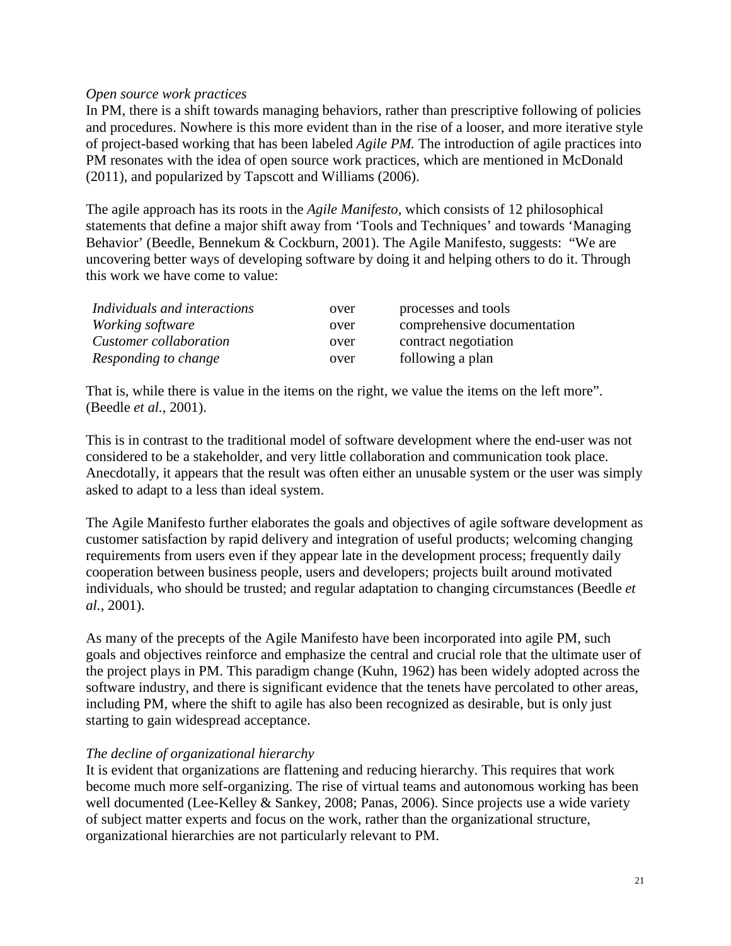#### *Open source work practices*

In PM, there is a shift towards managing behaviors, rather than prescriptive following of policies and procedures. Nowhere is this more evident than in the rise of a looser, and more iterative style of project-based working that has been labeled *Agile PM.* The introduction of agile practices into PM resonates with the idea of open source work practices, which are mentioned in McDonald (2011), and popularized by Tapscott and Williams (2006).

The agile approach has its roots in the *Agile Manifesto,* which consists of 12 philosophical statements that define a major shift away from 'Tools and Techniques' and towards 'Managing Behavior' (Beedle, Bennekum & Cockburn, 2001). The Agile Manifesto*,* suggests: "We are uncovering better ways of developing software by doing it and helping others to do it. Through this work we have come to value:

| Individuals and interactions | over | processes and tools         |
|------------------------------|------|-----------------------------|
| <i>Working software</i>      | over | comprehensive documentation |
| Customer collaboration       | over | contract negotiation        |
| Responding to change         | over | following a plan            |

That is, while there is value in the items on the right, we value the items on the left more". (Beedle *et al.*, 2001).

This is in contrast to the traditional model of software development where the end-user was not considered to be a stakeholder, and very little collaboration and communication took place. Anecdotally, it appears that the result was often either an unusable system or the user was simply asked to adapt to a less than ideal system.

The Agile Manifesto further elaborates the goals and objectives of agile software development as customer satisfaction by rapid delivery and integration of useful products; welcoming changing requirements from users even if they appear late in the development process; frequently daily cooperation between business people, users and developers; projects built around motivated individuals, who should be trusted; and regular adaptation to changing circumstances (Beedle *et al.*, 2001).

As many of the precepts of the Agile Manifesto have been incorporated into agile PM, such goals and objectives reinforce and emphasize the central and crucial role that the ultimate user of the project plays in PM. This paradigm change (Kuhn, 1962) has been widely adopted across the software industry, and there is significant evidence that the tenets have percolated to other areas, including PM, where the shift to agile has also been recognized as desirable, but is only just starting to gain widespread acceptance.

### *The decline of organizational hierarchy*

It is evident that organizations are flattening and reducing hierarchy. This requires that work become much more self-organizing. The rise of virtual teams and autonomous working has been well documented (Lee-Kelley & Sankey, 2008; Panas, 2006). Since projects use a wide variety of subject matter experts and focus on the work, rather than the organizational structure, organizational hierarchies are not particularly relevant to PM.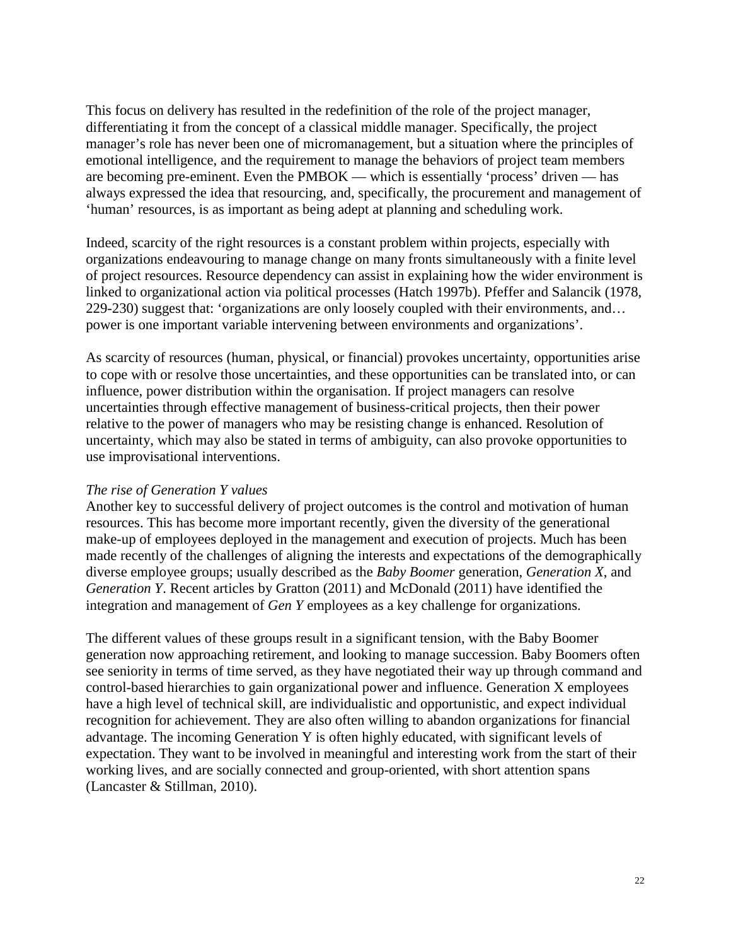This focus on delivery has resulted in the redefinition of the role of the project manager, differentiating it from the concept of a classical middle manager. Specifically, the project manager's role has never been one of micromanagement, but a situation where the principles of emotional intelligence, and the requirement to manage the behaviors of project team members are becoming pre-eminent. Even the PMBOK — which is essentially 'process' driven — has always expressed the idea that resourcing, and, specifically, the procurement and management of 'human' resources, is as important as being adept at planning and scheduling work.

Indeed, scarcity of the right resources is a constant problem within projects, especially with organizations endeavouring to manage change on many fronts simultaneously with a finite level of project resources. Resource dependency can assist in explaining how the wider environment is linked to organizational action via political processes (Hatch 1997b). Pfeffer and Salancik (1978, 229-230) suggest that: 'organizations are only loosely coupled with their environments, and… power is one important variable intervening between environments and organizations'.

As scarcity of resources (human, physical, or financial) provokes uncertainty, opportunities arise to cope with or resolve those uncertainties, and these opportunities can be translated into, or can influence, power distribution within the organisation. If project managers can resolve uncertainties through effective management of business-critical projects, then their power relative to the power of managers who may be resisting change is enhanced. Resolution of uncertainty, which may also be stated in terms of ambiguity, can also provoke opportunities to use improvisational interventions.

### *The rise of Generation Y values*

Another key to successful delivery of project outcomes is the control and motivation of human resources. This has become more important recently, given the diversity of the generational make-up of employees deployed in the management and execution of projects. Much has been made recently of the challenges of aligning the interests and expectations of the demographically diverse employee groups; usually described as the *Baby Boomer* generation, *Generation X*, and *Generation Y*. Recent articles by Gratton (2011) and McDonald (2011) have identified the integration and management of *Gen Y* employees as a key challenge for organizations.

The different values of these groups result in a significant tension, with the Baby Boomer generation now approaching retirement, and looking to manage succession. Baby Boomers often see seniority in terms of time served, as they have negotiated their way up through command and control-based hierarchies to gain organizational power and influence. Generation X employees have a high level of technical skill, are individualistic and opportunistic, and expect individual recognition for achievement. They are also often willing to abandon organizations for financial advantage. The incoming Generation Y is often highly educated, with significant levels of expectation. They want to be involved in meaningful and interesting work from the start of their working lives, and are socially connected and group-oriented, with short attention spans (Lancaster & Stillman, 2010).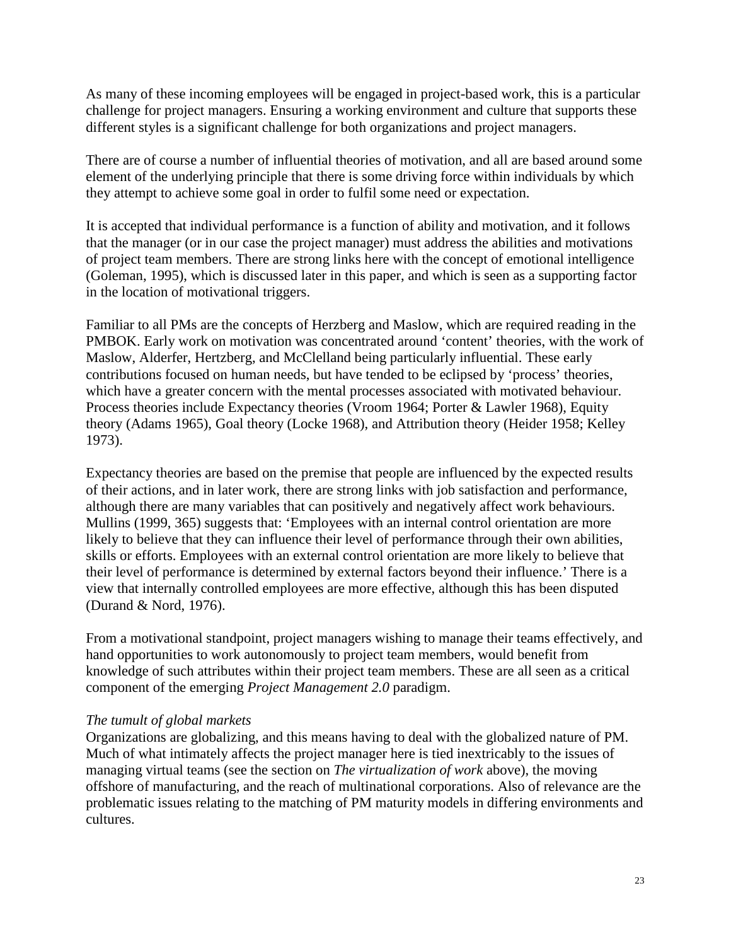As many of these incoming employees will be engaged in project-based work, this is a particular challenge for project managers. Ensuring a working environment and culture that supports these different styles is a significant challenge for both organizations and project managers.

There are of course a number of influential theories of motivation, and all are based around some element of the underlying principle that there is some driving force within individuals by which they attempt to achieve some goal in order to fulfil some need or expectation.

It is accepted that individual performance is a function of ability and motivation, and it follows that the manager (or in our case the project manager) must address the abilities and motivations of project team members. There are strong links here with the concept of emotional intelligence (Goleman, 1995), which is discussed later in this paper, and which is seen as a supporting factor in the location of motivational triggers.

Familiar to all PMs are the concepts of Herzberg and Maslow, which are required reading in the PMBOK. Early work on motivation was concentrated around 'content' theories, with the work of Maslow, Alderfer, Hertzberg, and McClelland being particularly influential. These early contributions focused on human needs, but have tended to be eclipsed by 'process' theories, which have a greater concern with the mental processes associated with motivated behaviour. Process theories include Expectancy theories (Vroom 1964; Porter & Lawler 1968), Equity theory (Adams 1965), Goal theory (Locke 1968), and Attribution theory (Heider 1958; Kelley 1973).

Expectancy theories are based on the premise that people are influenced by the expected results of their actions, and in later work, there are strong links with job satisfaction and performance, although there are many variables that can positively and negatively affect work behaviours. Mullins (1999, 365) suggests that: 'Employees with an internal control orientation are more likely to believe that they can influence their level of performance through their own abilities, skills or efforts. Employees with an external control orientation are more likely to believe that their level of performance is determined by external factors beyond their influence.' There is a view that internally controlled employees are more effective, although this has been disputed (Durand & Nord, 1976).

From a motivational standpoint, project managers wishing to manage their teams effectively, and hand opportunities to work autonomously to project team members, would benefit from knowledge of such attributes within their project team members. These are all seen as a critical component of the emerging *Project Management 2.0* paradigm.

### *The tumult of global markets*

Organizations are globalizing, and this means having to deal with the globalized nature of PM. Much of what intimately affects the project manager here is tied inextricably to the issues of managing virtual teams (see the section on *The virtualization of work* above), the moving offshore of manufacturing, and the reach of multinational corporations. Also of relevance are the problematic issues relating to the matching of PM maturity models in differing environments and cultures.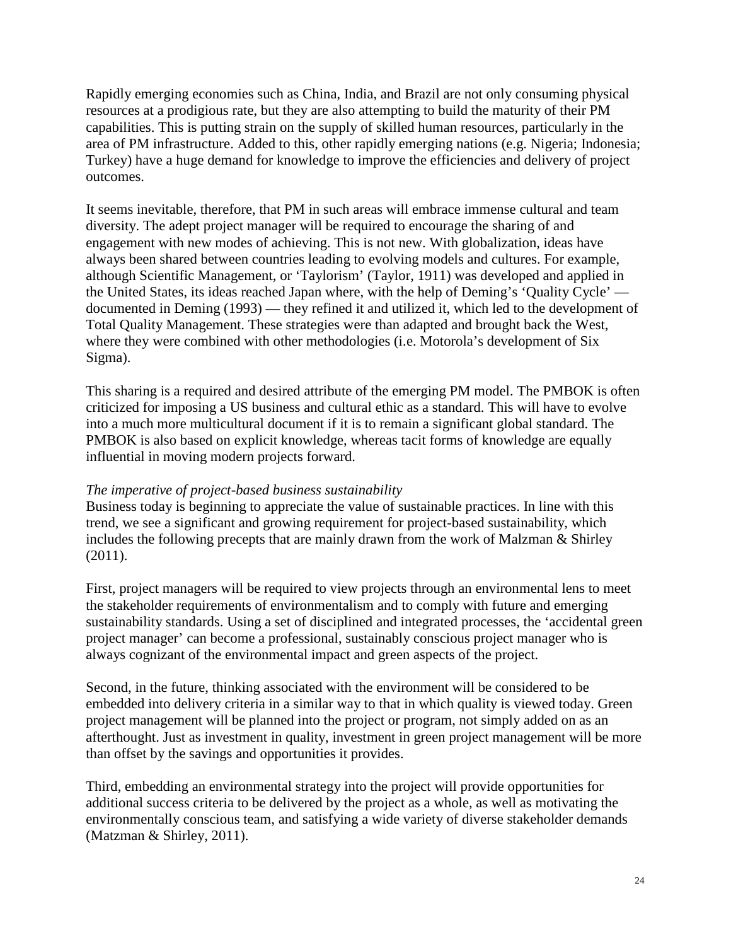Rapidly emerging economies such as China, India, and Brazil are not only consuming physical resources at a prodigious rate, but they are also attempting to build the maturity of their PM capabilities. This is putting strain on the supply of skilled human resources, particularly in the area of PM infrastructure. Added to this, other rapidly emerging nations (e.g. Nigeria; Indonesia; Turkey) have a huge demand for knowledge to improve the efficiencies and delivery of project outcomes.

It seems inevitable, therefore, that PM in such areas will embrace immense cultural and team diversity. The adept project manager will be required to encourage the sharing of and engagement with new modes of achieving. This is not new. With globalization, ideas have always been shared between countries leading to evolving models and cultures. For example, although Scientific Management, or 'Taylorism' (Taylor, 1911) was developed and applied in the United States, its ideas reached Japan where, with the help of Deming's 'Quality Cycle' documented in Deming (1993) — they refined it and utilized it, which led to the development of Total Quality Management. These strategies were than adapted and brought back the West, where they were combined with other methodologies (i.e. Motorola's development of Six Sigma).

This sharing is a required and desired attribute of the emerging PM model. The PMBOK is often criticized for imposing a US business and cultural ethic as a standard. This will have to evolve into a much more multicultural document if it is to remain a significant global standard. The PMBOK is also based on explicit knowledge, whereas tacit forms of knowledge are equally influential in moving modern projects forward.

# *The imperative of project-based business sustainability*

Business today is beginning to appreciate the value of sustainable practices. In line with this trend, we see a significant and growing requirement for project-based sustainability, which includes the following precepts that are mainly drawn from the work of Malzman & Shirley (2011).

First, project managers will be required to view projects through an environmental lens to meet the stakeholder requirements of environmentalism and to comply with future and emerging sustainability standards. Using a set of disciplined and integrated processes, the 'accidental green project manager' can become a professional, sustainably conscious project manager who is always cognizant of the environmental impact and green aspects of the project.

Second, in the future, thinking associated with the environment will be considered to be embedded into delivery criteria in a similar way to that in which quality is viewed today. Green project management will be planned into the project or program, not simply added on as an afterthought. Just as investment in quality, investment in green project management will be more than offset by the savings and opportunities it provides.

Third, embedding an environmental strategy into the project will provide opportunities for additional success criteria to be delivered by the project as a whole, as well as motivating the environmentally conscious team, and satisfying a wide variety of diverse stakeholder demands (Matzman & Shirley, 2011).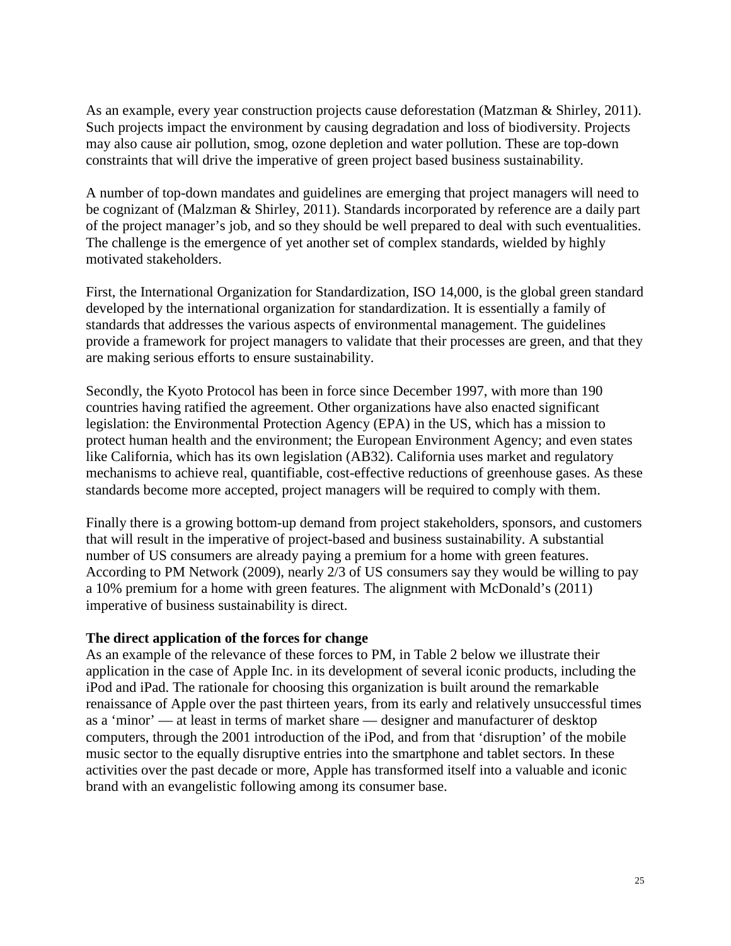As an example, every year construction projects cause deforestation (Matzman & Shirley, 2011). Such projects impact the environment by causing degradation and loss of biodiversity. Projects may also cause air pollution, smog, ozone depletion and water pollution. These are top-down constraints that will drive the imperative of green project based business sustainability.

A number of top-down mandates and guidelines are emerging that project managers will need to be cognizant of (Malzman & Shirley, 2011). Standards incorporated by reference are a daily part of the project manager's job, and so they should be well prepared to deal with such eventualities. The challenge is the emergence of yet another set of complex standards, wielded by highly motivated stakeholders.

First, the International Organization for Standardization, ISO 14,000, is the global green standard developed by the international organization for standardization. It is essentially a family of standards that addresses the various aspects of environmental management. The guidelines provide a framework for project managers to validate that their processes are green, and that they are making serious efforts to ensure sustainability.

Secondly, the Kyoto Protocol has been in force since December 1997, with more than 190 countries having ratified the agreement. Other organizations have also enacted significant legislation: the Environmental Protection Agency (EPA) in the US, which has a mission to protect human health and the environment; the European Environment Agency; and even states like California, which has its own legislation (AB32). California uses market and regulatory mechanisms to achieve real, quantifiable, cost-effective reductions of greenhouse gases. As these standards become more accepted, project managers will be required to comply with them.

Finally there is a growing bottom-up demand from project stakeholders, sponsors, and customers that will result in the imperative of project-based and business sustainability. A substantial number of US consumers are already paying a premium for a home with green features. According to PM Network (2009), nearly 2/3 of US consumers say they would be willing to pay a 10% premium for a home with green features. The alignment with McDonald's (2011) imperative of business sustainability is direct.

### **The direct application of the forces for change**

As an example of the relevance of these forces to PM, in Table 2 below we illustrate their application in the case of Apple Inc. in its development of several iconic products, including the iPod and iPad. The rationale for choosing this organization is built around the remarkable renaissance of Apple over the past thirteen years, from its early and relatively unsuccessful times as a 'minor' — at least in terms of market share — designer and manufacturer of desktop computers, through the 2001 introduction of the iPod, and from that 'disruption' of the mobile music sector to the equally disruptive entries into the smartphone and tablet sectors. In these activities over the past decade or more, Apple has transformed itself into a valuable and iconic brand with an evangelistic following among its consumer base.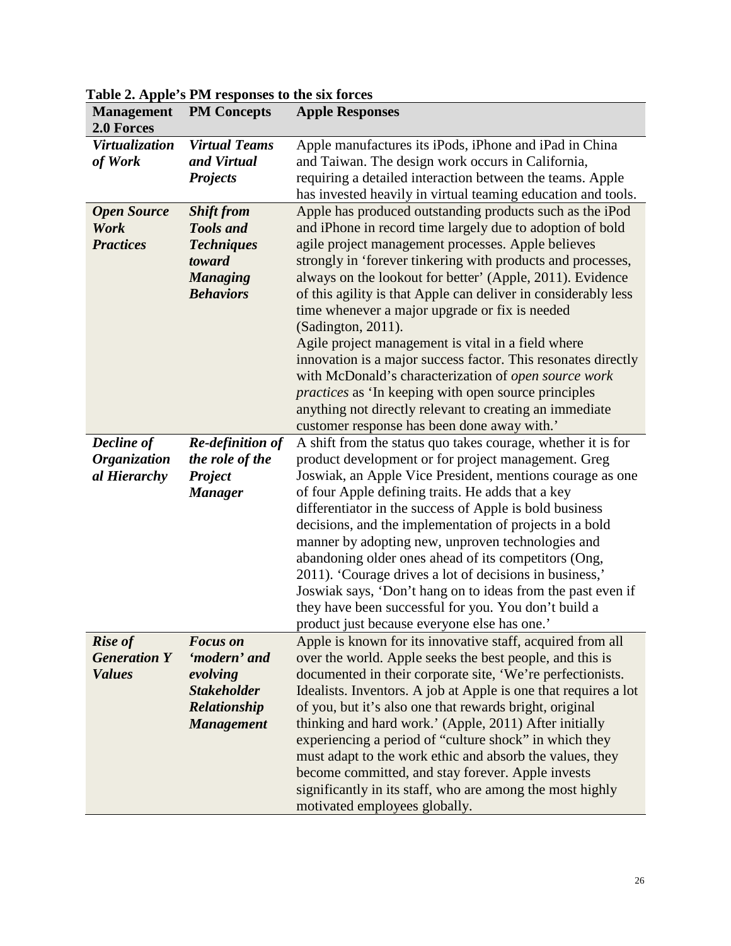| <b>Management</b><br>2.0 Forces                        | <b>PM Concepts</b>                                                                                          | <b>Apple Responses</b>                                                                                                                                                                                                                                                                                                                                                                                                                                                                                                                                                                                                                                                                                                                                                                                    |
|--------------------------------------------------------|-------------------------------------------------------------------------------------------------------------|-----------------------------------------------------------------------------------------------------------------------------------------------------------------------------------------------------------------------------------------------------------------------------------------------------------------------------------------------------------------------------------------------------------------------------------------------------------------------------------------------------------------------------------------------------------------------------------------------------------------------------------------------------------------------------------------------------------------------------------------------------------------------------------------------------------|
| Virtualization<br>of Work                              | <b>Virtual Teams</b><br>and Virtual<br><b>Projects</b>                                                      | Apple manufactures its iPods, iPhone and iPad in China<br>and Taiwan. The design work occurs in California,<br>requiring a detailed interaction between the teams. Apple<br>has invested heavily in virtual teaming education and tools.                                                                                                                                                                                                                                                                                                                                                                                                                                                                                                                                                                  |
| <b>Open Source</b><br>Work<br><b>Practices</b>         | <b>Shift from</b><br><b>Tools and</b><br><b>Techniques</b><br>toward<br><b>Managing</b><br><b>Behaviors</b> | Apple has produced outstanding products such as the iPod<br>and iPhone in record time largely due to adoption of bold<br>agile project management processes. Apple believes<br>strongly in 'forever tinkering with products and processes,<br>always on the lookout for better' (Apple, 2011). Evidence<br>of this agility is that Apple can deliver in considerably less<br>time whenever a major upgrade or fix is needed<br>(Sadington, 2011).<br>Agile project management is vital in a field where<br>innovation is a major success factor. This resonates directly<br>with McDonald's characterization of open source work<br><i>practices</i> as 'In keeping with open source principles<br>anything not directly relevant to creating an immediate<br>customer response has been done away with.' |
| Decline of<br><b>Organization</b><br>al Hierarchy      | <b>Re-definition of</b><br>the role of the<br>Project<br><b>Manager</b>                                     | A shift from the status quo takes courage, whether it is for<br>product development or for project management. Greg<br>Joswiak, an Apple Vice President, mentions courage as one<br>of four Apple defining traits. He adds that a key<br>differentiator in the success of Apple is bold business<br>decisions, and the implementation of projects in a bold<br>manner by adopting new, unproven technologies and<br>abandoning older ones ahead of its competitors (Ong,<br>2011). 'Courage drives a lot of decisions in business,'<br>Joswiak says, 'Don't hang on to ideas from the past even if<br>they have been successful for you. You don't build a<br>product just because everyone else has one.'                                                                                                |
| <b>Rise of</b><br><b>Generation Y</b><br><b>Values</b> | <b>Focus</b> on<br>'modern' and<br>evolving<br><b>Stakeholder</b><br>Relationship<br><b>Management</b>      | Apple is known for its innovative staff, acquired from all<br>over the world. Apple seeks the best people, and this is<br>documented in their corporate site, 'We're perfectionists.<br>Idealists. Inventors. A job at Apple is one that requires a lot<br>of you, but it's also one that rewards bright, original<br>thinking and hard work.' (Apple, 2011) After initially<br>experiencing a period of "culture shock" in which they<br>must adapt to the work ethic and absorb the values, they<br>become committed, and stay forever. Apple invests<br>significantly in its staff, who are among the most highly<br>motivated employees globally.                                                                                                                                                     |

**Table 2. Apple's PM responses to the six forces**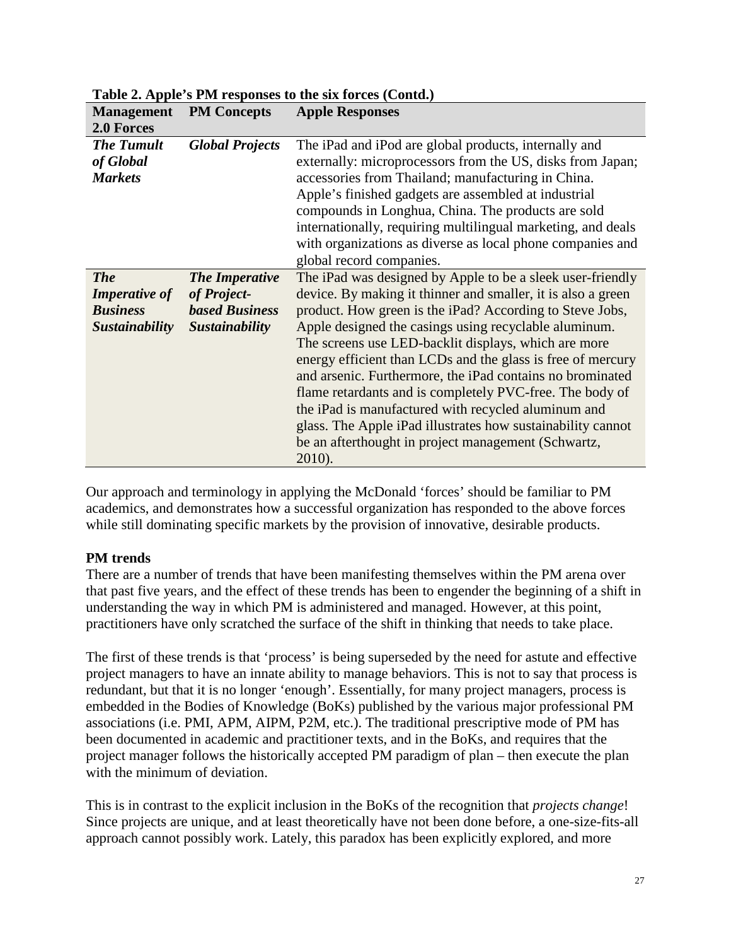| <b>Management</b><br>2.0 Forces                                                | <b>PM Concepts</b>                                                              | <b>Apple Responses</b>                                                                                                                                                                                                                                                                                                                                                                                                                                                                                                                                                                                                                                                                 |
|--------------------------------------------------------------------------------|---------------------------------------------------------------------------------|----------------------------------------------------------------------------------------------------------------------------------------------------------------------------------------------------------------------------------------------------------------------------------------------------------------------------------------------------------------------------------------------------------------------------------------------------------------------------------------------------------------------------------------------------------------------------------------------------------------------------------------------------------------------------------------|
| <b>The Tumult</b><br>of Global<br><b>Markets</b>                               | <b>Global Projects</b>                                                          | The iPad and iPod are global products, internally and<br>externally: microprocessors from the US, disks from Japan;<br>accessories from Thailand; manufacturing in China.<br>Apple's finished gadgets are assembled at industrial<br>compounds in Longhua, China. The products are sold<br>internationally, requiring multilingual marketing, and deals<br>with organizations as diverse as local phone companies and<br>global record companies.                                                                                                                                                                                                                                      |
| <b>The</b><br><b>Imperative of</b><br><b>Business</b><br><b>Sustainability</b> | <b>The Imperative</b><br>of Project-<br><b>based Business</b><br>Sustainability | The iPad was designed by Apple to be a sleek user-friendly<br>device. By making it thinner and smaller, it is also a green<br>product. How green is the iPad? According to Steve Jobs,<br>Apple designed the casings using recyclable aluminum.<br>The screens use LED-backlit displays, which are more<br>energy efficient than LCDs and the glass is free of mercury<br>and arsenic. Furthermore, the iPad contains no brominated<br>flame retardants and is completely PVC-free. The body of<br>the iPad is manufactured with recycled aluminum and<br>glass. The Apple iPad illustrates how sustainability cannot<br>be an afterthought in project management (Schwartz,<br>2010). |

**Table 2. Apple's PM responses to the six forces (Contd.)**

Our approach and terminology in applying the McDonald 'forces' should be familiar to PM academics, and demonstrates how a successful organization has responded to the above forces while still dominating specific markets by the provision of innovative, desirable products.

# **PM trends**

There are a number of trends that have been manifesting themselves within the PM arena over that past five years, and the effect of these trends has been to engender the beginning of a shift in understanding the way in which PM is administered and managed. However, at this point, practitioners have only scratched the surface of the shift in thinking that needs to take place.

The first of these trends is that 'process' is being superseded by the need for astute and effective project managers to have an innate ability to manage behaviors. This is not to say that process is redundant, but that it is no longer 'enough'. Essentially, for many project managers, process is embedded in the Bodies of Knowledge (BoKs) published by the various major professional PM associations (i.e. PMI, APM, AIPM, P2M, etc.). The traditional prescriptive mode of PM has been documented in academic and practitioner texts, and in the BoKs, and requires that the project manager follows the historically accepted PM paradigm of plan – then execute the plan with the minimum of deviation.

This is in contrast to the explicit inclusion in the BoKs of the recognition that *projects change*! Since projects are unique, and at least theoretically have not been done before, a one-size-fits-all approach cannot possibly work. Lately, this paradox has been explicitly explored, and more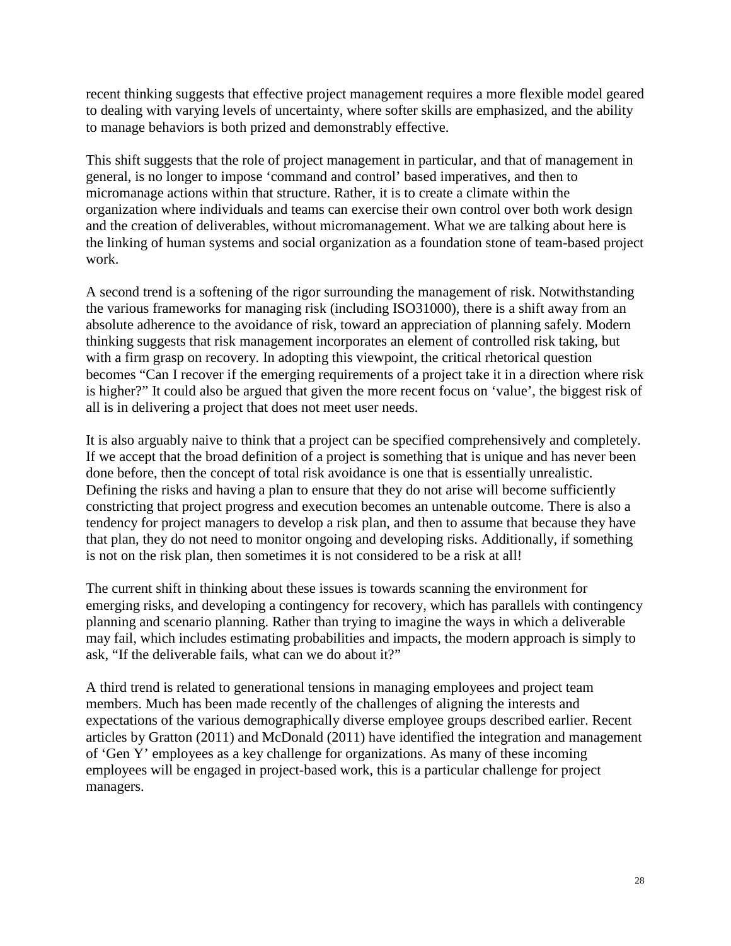recent thinking suggests that effective project management requires a more flexible model geared to dealing with varying levels of uncertainty, where softer skills are emphasized, and the ability to manage behaviors is both prized and demonstrably effective.

This shift suggests that the role of project management in particular, and that of management in general, is no longer to impose 'command and control' based imperatives, and then to micromanage actions within that structure. Rather, it is to create a climate within the organization where individuals and teams can exercise their own control over both work design and the creation of deliverables, without micromanagement. What we are talking about here is the linking of human systems and social organization as a foundation stone of team-based project work.

A second trend is a softening of the rigor surrounding the management of risk. Notwithstanding the various frameworks for managing risk (including ISO31000), there is a shift away from an absolute adherence to the avoidance of risk, toward an appreciation of planning safely. Modern thinking suggests that risk management incorporates an element of controlled risk taking, but with a firm grasp on recovery. In adopting this viewpoint, the critical rhetorical question becomes "Can I recover if the emerging requirements of a project take it in a direction where risk is higher?" It could also be argued that given the more recent focus on 'value', the biggest risk of all is in delivering a project that does not meet user needs.

It is also arguably naive to think that a project can be specified comprehensively and completely. If we accept that the broad definition of a project is something that is unique and has never been done before, then the concept of total risk avoidance is one that is essentially unrealistic. Defining the risks and having a plan to ensure that they do not arise will become sufficiently constricting that project progress and execution becomes an untenable outcome. There is also a tendency for project managers to develop a risk plan, and then to assume that because they have that plan, they do not need to monitor ongoing and developing risks. Additionally, if something is not on the risk plan, then sometimes it is not considered to be a risk at all!

The current shift in thinking about these issues is towards scanning the environment for emerging risks, and developing a contingency for recovery, which has parallels with contingency planning and scenario planning. Rather than trying to imagine the ways in which a deliverable may fail, which includes estimating probabilities and impacts, the modern approach is simply to ask, "If the deliverable fails, what can we do about it?"

A third trend is related to generational tensions in managing employees and project team members. Much has been made recently of the challenges of aligning the interests and expectations of the various demographically diverse employee groups described earlier. Recent articles by Gratton (2011) and McDonald (2011) have identified the integration and management of 'Gen Y' employees as a key challenge for organizations. As many of these incoming employees will be engaged in project-based work, this is a particular challenge for project managers.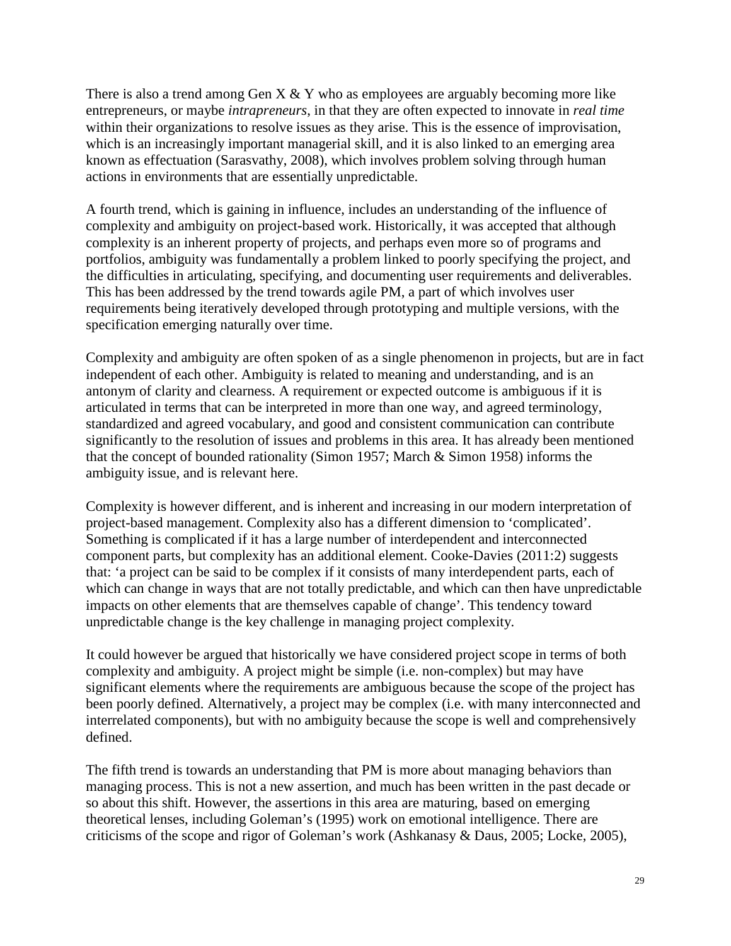There is also a trend among Gen  $X & Y$  who as employees are arguably becoming more like entrepreneurs, or maybe *intrapreneurs*, in that they are often expected to innovate in *real time* within their organizations to resolve issues as they arise. This is the essence of improvisation, which is an increasingly important managerial skill, and it is also linked to an emerging area known as effectuation (Sarasvathy, 2008), which involves problem solving through human actions in environments that are essentially unpredictable.

A fourth trend, which is gaining in influence, includes an understanding of the influence of complexity and ambiguity on project-based work. Historically, it was accepted that although complexity is an inherent property of projects, and perhaps even more so of programs and portfolios, ambiguity was fundamentally a problem linked to poorly specifying the project, and the difficulties in articulating, specifying, and documenting user requirements and deliverables. This has been addressed by the trend towards agile PM, a part of which involves user requirements being iteratively developed through prototyping and multiple versions, with the specification emerging naturally over time.

Complexity and ambiguity are often spoken of as a single phenomenon in projects, but are in fact independent of each other. Ambiguity is related to meaning and understanding, and is an antonym of clarity and clearness. A requirement or expected outcome is ambiguous if it is articulated in terms that can be interpreted in more than one way, and agreed terminology, standardized and agreed vocabulary, and good and consistent communication can contribute significantly to the resolution of issues and problems in this area. It has already been mentioned that the concept of bounded rationality (Simon 1957; March & Simon 1958) informs the ambiguity issue, and is relevant here.

Complexity is however different, and is inherent and increasing in our modern interpretation of project-based management. Complexity also has a different dimension to 'complicated'. Something is complicated if it has a large number of interdependent and interconnected component parts, but complexity has an additional element. Cooke-Davies (2011:2) suggests that: 'a project can be said to be complex if it consists of many interdependent parts, each of which can change in ways that are not totally predictable, and which can then have unpredictable impacts on other elements that are themselves capable of change'. This tendency toward unpredictable change is the key challenge in managing project complexity.

It could however be argued that historically we have considered project scope in terms of both complexity and ambiguity. A project might be simple (i.e. non-complex) but may have significant elements where the requirements are ambiguous because the scope of the project has been poorly defined. Alternatively, a project may be complex (i.e. with many interconnected and interrelated components), but with no ambiguity because the scope is well and comprehensively defined.

The fifth trend is towards an understanding that PM is more about managing behaviors than managing process. This is not a new assertion, and much has been written in the past decade or so about this shift. However, the assertions in this area are maturing, based on emerging theoretical lenses, including Goleman's (1995) work on emotional intelligence. There are criticisms of the scope and rigor of Goleman's work (Ashkanasy & Daus, 2005; Locke, 2005),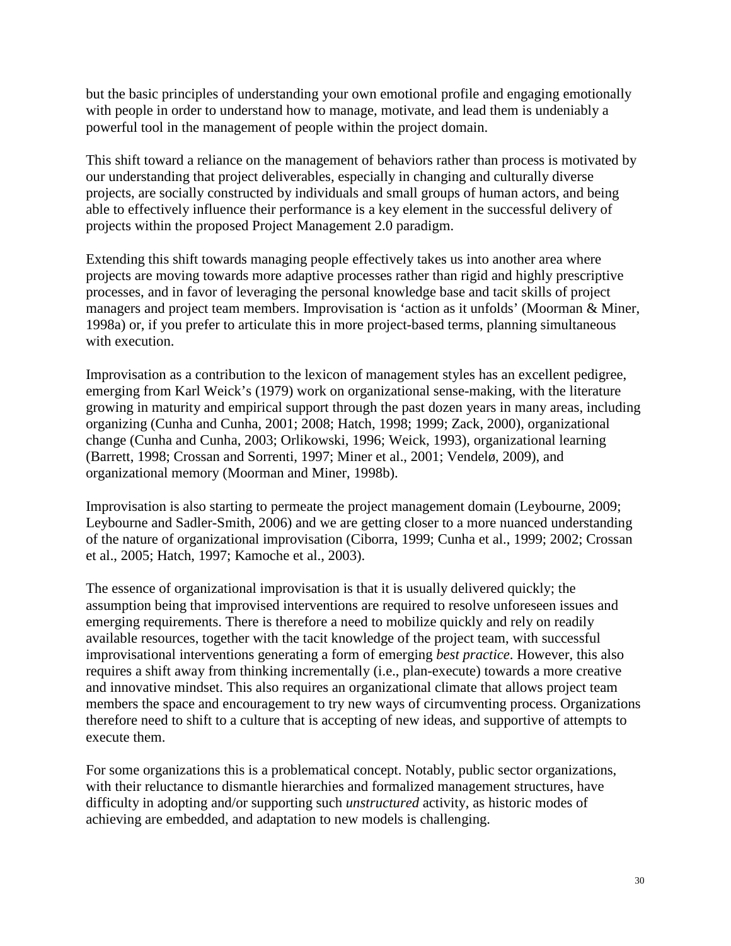but the basic principles of understanding your own emotional profile and engaging emotionally with people in order to understand how to manage, motivate, and lead them is undeniably a powerful tool in the management of people within the project domain.

This shift toward a reliance on the management of behaviors rather than process is motivated by our understanding that project deliverables, especially in changing and culturally diverse projects, are socially constructed by individuals and small groups of human actors, and being able to effectively influence their performance is a key element in the successful delivery of projects within the proposed Project Management 2.0 paradigm.

Extending this shift towards managing people effectively takes us into another area where projects are moving towards more adaptive processes rather than rigid and highly prescriptive processes, and in favor of leveraging the personal knowledge base and tacit skills of project managers and project team members. Improvisation is 'action as it unfolds' (Moorman & Miner, 1998a) or, if you prefer to articulate this in more project-based terms, planning simultaneous with execution.

Improvisation as a contribution to the lexicon of management styles has an excellent pedigree, emerging from Karl Weick's (1979) work on organizational sense-making, with the literature growing in maturity and empirical support through the past dozen years in many areas, including organizing (Cunha and Cunha, 2001; 2008; Hatch, 1998; 1999; Zack, 2000), organizational change (Cunha and Cunha, 2003; Orlikowski, 1996; Weick, 1993), organizational learning (Barrett, 1998; Crossan and Sorrenti, 1997; Miner et al., 2001; Vendelø, 2009), and organizational memory (Moorman and Miner, 1998b).

Improvisation is also starting to permeate the project management domain (Leybourne, 2009; Leybourne and Sadler-Smith, 2006) and we are getting closer to a more nuanced understanding of the nature of organizational improvisation (Ciborra, 1999; Cunha et al., 1999; 2002; Crossan et al., 2005; Hatch, 1997; Kamoche et al., 2003).

The essence of organizational improvisation is that it is usually delivered quickly; the assumption being that improvised interventions are required to resolve unforeseen issues and emerging requirements. There is therefore a need to mobilize quickly and rely on readily available resources, together with the tacit knowledge of the project team, with successful improvisational interventions generating a form of emerging *best practice*. However, this also requires a shift away from thinking incrementally (i.e., plan-execute) towards a more creative and innovative mindset. This also requires an organizational climate that allows project team members the space and encouragement to try new ways of circumventing process. Organizations therefore need to shift to a culture that is accepting of new ideas, and supportive of attempts to execute them.

For some organizations this is a problematical concept. Notably, public sector organizations, with their reluctance to dismantle hierarchies and formalized management structures, have difficulty in adopting and/or supporting such *unstructured* activity, as historic modes of achieving are embedded, and adaptation to new models is challenging.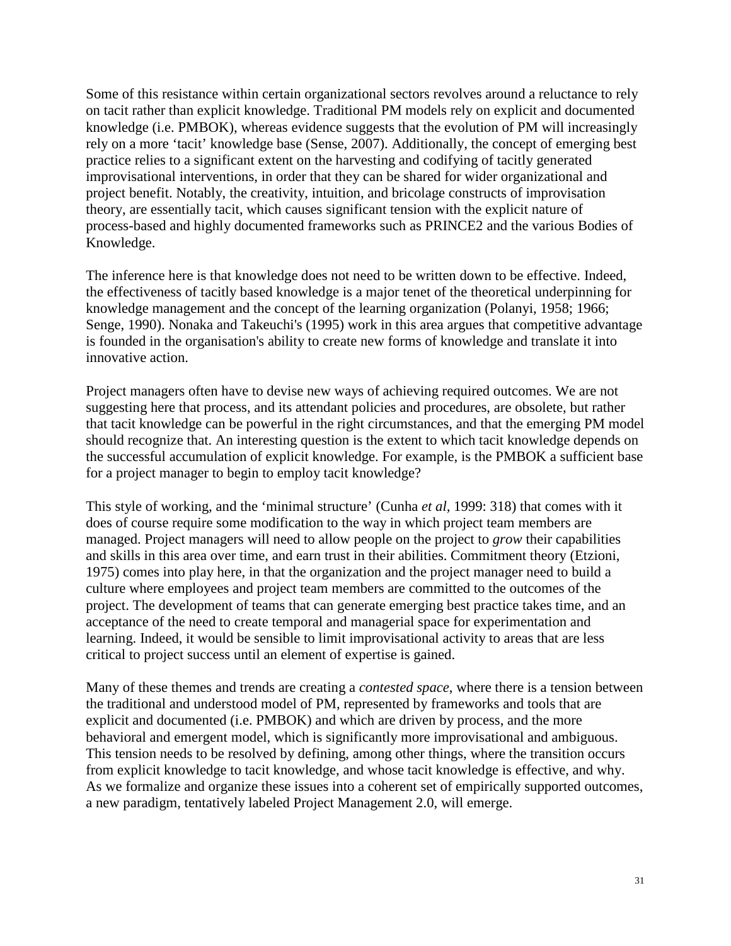Some of this resistance within certain organizational sectors revolves around a reluctance to rely on tacit rather than explicit knowledge. Traditional PM models rely on explicit and documented knowledge (i.e. PMBOK), whereas evidence suggests that the evolution of PM will increasingly rely on a more 'tacit' knowledge base (Sense, 2007). Additionally, the concept of emerging best practice relies to a significant extent on the harvesting and codifying of tacitly generated improvisational interventions, in order that they can be shared for wider organizational and project benefit. Notably, the creativity, intuition, and bricolage constructs of improvisation theory, are essentially tacit, which causes significant tension with the explicit nature of process-based and highly documented frameworks such as PRINCE2 and the various Bodies of Knowledge.

The inference here is that knowledge does not need to be written down to be effective. Indeed, the effectiveness of tacitly based knowledge is a major tenet of the theoretical underpinning for knowledge management and the concept of the learning organization (Polanyi, 1958; 1966; Senge, 1990). Nonaka and Takeuchi's (1995) work in this area argues that competitive advantage is founded in the organisation's ability to create new forms of knowledge and translate it into innovative action.

Project managers often have to devise new ways of achieving required outcomes. We are not suggesting here that process, and its attendant policies and procedures, are obsolete, but rather that tacit knowledge can be powerful in the right circumstances, and that the emerging PM model should recognize that. An interesting question is the extent to which tacit knowledge depends on the successful accumulation of explicit knowledge. For example, is the PMBOK a sufficient base for a project manager to begin to employ tacit knowledge?

This style of working, and the 'minimal structure' (Cunha *et al,* 1999: 318) that comes with it does of course require some modification to the way in which project team members are managed. Project managers will need to allow people on the project to *grow* their capabilities and skills in this area over time, and earn trust in their abilities. Commitment theory (Etzioni, 1975) comes into play here, in that the organization and the project manager need to build a culture where employees and project team members are committed to the outcomes of the project. The development of teams that can generate emerging best practice takes time, and an acceptance of the need to create temporal and managerial space for experimentation and learning. Indeed, it would be sensible to limit improvisational activity to areas that are less critical to project success until an element of expertise is gained.

Many of these themes and trends are creating a *contested space*, where there is a tension between the traditional and understood model of PM, represented by frameworks and tools that are explicit and documented (i.e. PMBOK) and which are driven by process, and the more behavioral and emergent model, which is significantly more improvisational and ambiguous. This tension needs to be resolved by defining, among other things, where the transition occurs from explicit knowledge to tacit knowledge, and whose tacit knowledge is effective, and why. As we formalize and organize these issues into a coherent set of empirically supported outcomes, a new paradigm, tentatively labeled Project Management 2.0, will emerge.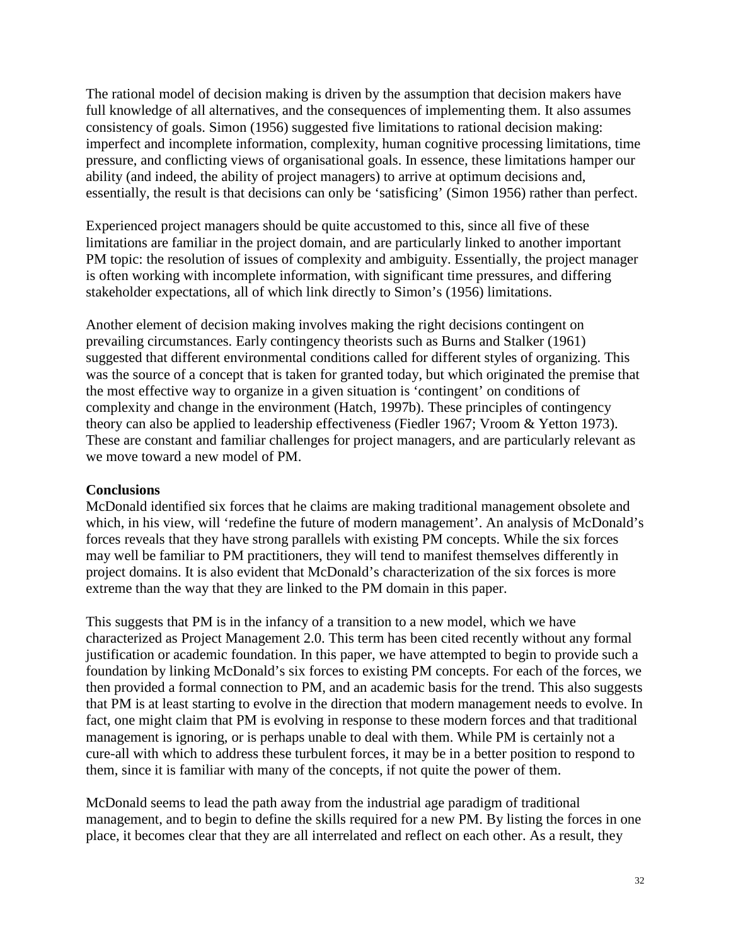The rational model of decision making is driven by the assumption that decision makers have full knowledge of all alternatives, and the consequences of implementing them. It also assumes consistency of goals. Simon (1956) suggested five limitations to rational decision making: imperfect and incomplete information, complexity, human cognitive processing limitations, time pressure, and conflicting views of organisational goals. In essence, these limitations hamper our ability (and indeed, the ability of project managers) to arrive at optimum decisions and, essentially, the result is that decisions can only be 'satisficing' (Simon 1956) rather than perfect.

Experienced project managers should be quite accustomed to this, since all five of these limitations are familiar in the project domain, and are particularly linked to another important PM topic: the resolution of issues of complexity and ambiguity. Essentially, the project manager is often working with incomplete information, with significant time pressures, and differing stakeholder expectations, all of which link directly to Simon's (1956) limitations.

Another element of decision making involves making the right decisions contingent on prevailing circumstances. Early contingency theorists such as Burns and Stalker (1961) suggested that different environmental conditions called for different styles of organizing. This was the source of a concept that is taken for granted today, but which originated the premise that the most effective way to organize in a given situation is 'contingent' on conditions of complexity and change in the environment (Hatch, 1997b). These principles of contingency theory can also be applied to leadership effectiveness (Fiedler 1967; Vroom & Yetton 1973). These are constant and familiar challenges for project managers, and are particularly relevant as we move toward a new model of PM.

### **Conclusions**

McDonald identified six forces that he claims are making traditional management obsolete and which, in his view, will 'redefine the future of modern management'. An analysis of McDonald's forces reveals that they have strong parallels with existing PM concepts. While the six forces may well be familiar to PM practitioners, they will tend to manifest themselves differently in project domains. It is also evident that McDonald's characterization of the six forces is more extreme than the way that they are linked to the PM domain in this paper.

This suggests that PM is in the infancy of a transition to a new model, which we have characterized as Project Management 2.0. This term has been cited recently without any formal justification or academic foundation. In this paper, we have attempted to begin to provide such a foundation by linking McDonald's six forces to existing PM concepts. For each of the forces, we then provided a formal connection to PM, and an academic basis for the trend. This also suggests that PM is at least starting to evolve in the direction that modern management needs to evolve. In fact, one might claim that PM is evolving in response to these modern forces and that traditional management is ignoring, or is perhaps unable to deal with them. While PM is certainly not a cure-all with which to address these turbulent forces, it may be in a better position to respond to them, since it is familiar with many of the concepts, if not quite the power of them.

McDonald seems to lead the path away from the industrial age paradigm of traditional management, and to begin to define the skills required for a new PM. By listing the forces in one place, it becomes clear that they are all interrelated and reflect on each other. As a result, they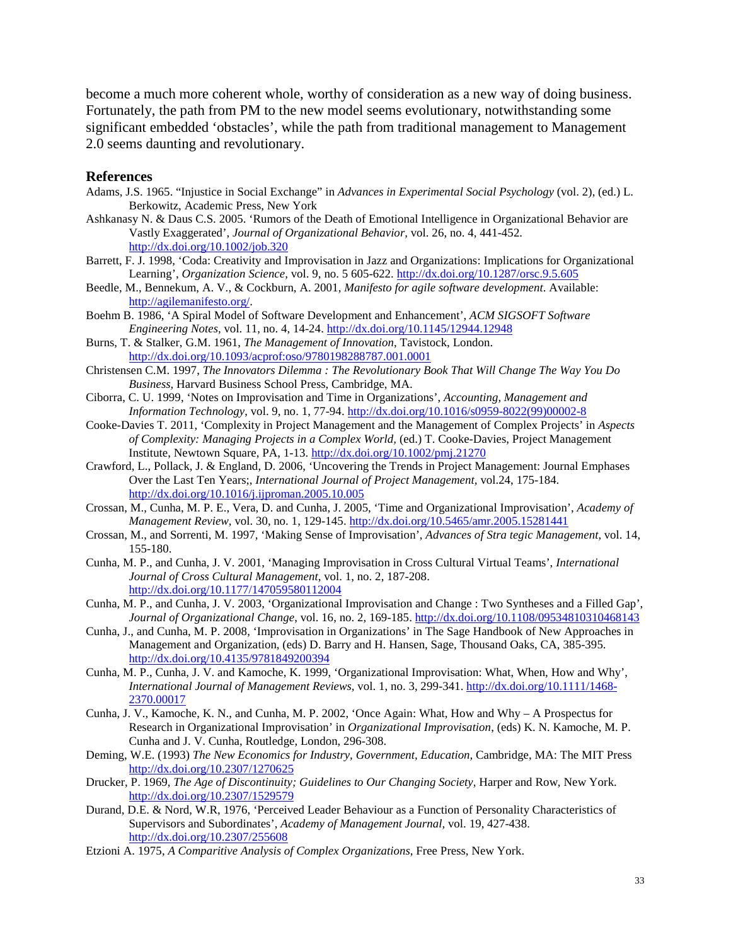become a much more coherent whole, worthy of consideration as a new way of doing business. Fortunately, the path from PM to the new model seems evolutionary, notwithstanding some significant embedded 'obstacles', while the path from traditional management to Management 2.0 seems daunting and revolutionary.

#### **References**

- Adams, J.S. 1965. "Injustice in Social Exchange" in *Advances in Experimental Social Psychology* (vol. 2), (ed.) L. Berkowitz, Academic Press, New York
- Ashkanasy N. & Daus C.S. 2005. 'Rumors of the Death of Emotional Intelligence in Organizational Behavior are Vastly Exaggerated', *Journal of Organizational Behavior,* vol. 26, no. 4, 441-452. <http://dx.doi.org/10.1002/job.320>
- Barrett, F. J. 1998, 'Coda: Creativity and Improvisation in Jazz and Organizations: Implications for Organizational Learning', *Organization Science,* vol. 9, no. 5 605-622. <http://dx.doi.org/10.1287/orsc.9.5.605>
- Beedle, M., Bennekum, A. V., & Cockburn, A. 2001, *Manifesto for agile software development*. Available: [http://agilemanifesto.org/.](http://agilemanifesto.org/)
- Boehm B. 1986, 'A Spiral Model of Software Development and Enhancement', *ACM SIGSOFT Software Engineering Notes,* vol. 11, no. 4, 14-24. <http://dx.doi.org/10.1145/12944.12948>

Burns, T. & Stalker, G.M. 1961, *The Management of Innovation*, Tavistock, London. <http://dx.doi.org/10.1093/acprof:oso/9780198288787.001.0001>

- Christensen C.M. 1997, *The Innovators Dilemma : The Revolutionary Book That Will Change The Way You Do Business,* Harvard Business School Press, Cambridge, MA.
- Ciborra, C. U. 1999, 'Notes on Improvisation and Time in Organizations', *Accounting, Management and Information Technology*, vol. 9, no. 1, 77-94. [http://dx.doi.org/10.1016/s0959-8022\(99\)00002-8](http://dx.doi.org/10.1016/s0959-8022(99)00002-8)
- Cooke-Davies T. 2011, 'Complexity in Project Management and the Management of Complex Projects' in *Aspects of Complexity: Managing Projects in a Complex World,* (ed.) T. Cooke-Davies, Project Management Institute, Newtown Square, PA, 1-13. <http://dx.doi.org/10.1002/pmj.21270>
- Crawford, L., Pollack, J. & England, D. 2006, 'Uncovering the Trends in Project Management: Journal Emphases Over the Last Ten Years;, *International Journal of Project Management,* vol.24, 175-184. <http://dx.doi.org/10.1016/j.ijproman.2005.10.005>
- Crossan, M., Cunha, M. P. E., Vera, D. and Cunha, J. 2005, 'Time and Organizational Improvisation', *Academy of Management Review,* vol. 30, no. 1, 129-145. <http://dx.doi.org/10.5465/amr.2005.15281441>
- Crossan, M., and Sorrenti, M. 1997, 'Making Sense of Improvisation', *Advances of Stra tegic Management*, vol. 14, 155-180.
- Cunha, M. P., and Cunha, J. V. 2001, 'Managing Improvisation in Cross Cultural Virtual Teams', *International Journal of Cross Cultural Management*, vol. 1, no. 2, 187-208. <http://dx.doi.org/10.1177/147059580112004>
- Cunha, M. P., and Cunha, J. V. 2003, 'Organizational Improvisation and Change : Two Syntheses and a Filled Gap', *Journal of Organizational Change*, vol. 16, no. 2, 169-185. <http://dx.doi.org/10.1108/09534810310468143>
- Cunha, J., and Cunha, M. P. 2008, 'Improvisation in Organizations' in The Sage Handbook of New Approaches in Management and Organization, (eds) D. Barry and H. Hansen, Sage, Thousand Oaks, CA, 385-395. <http://dx.doi.org/10.4135/9781849200394>
- Cunha, M. P., Cunha, J. V. and Kamoche, K. 1999, 'Organizational Improvisation: What, When, How and Why', *International Journal of Management Reviews,* vol. 1, no. 3, 299-341. [http://dx.doi.org/10.1111/1468-](http://dx.doi.org/10.1111/1468-2370.00017) [2370.00017](http://dx.doi.org/10.1111/1468-2370.00017)
- Cunha, J. V., Kamoche, K. N., and Cunha, M. P. 2002, 'Once Again: What, How and Why A Prospectus for Research in Organizational Improvisation' in *Organizational Improvisation*, (eds) K. N. Kamoche, M. P. Cunha and J. V. Cunha, Routledge, London, 296-308.
- Deming, W.E. (1993) *The New Economics for Industry, Government, Education,* Cambridge, MA: The MIT Press <http://dx.doi.org/10.2307/1270625>
- Drucker, P. 1969, *The Age of Discontinuity; Guidelines to Our Changing Society*, Harper and Row, New York. <http://dx.doi.org/10.2307/1529579>
- Durand, D.E. & Nord, W.R, 1976, 'Perceived Leader Behaviour as a Function of Personality Characteristics of Supervisors and Subordinates', *Academy of Management Journal,* vol. 19, 427-438. <http://dx.doi.org/10.2307/255608>
- Etzioni A. 1975, *A Comparitive Analysis of Complex Organizations*, Free Press, New York.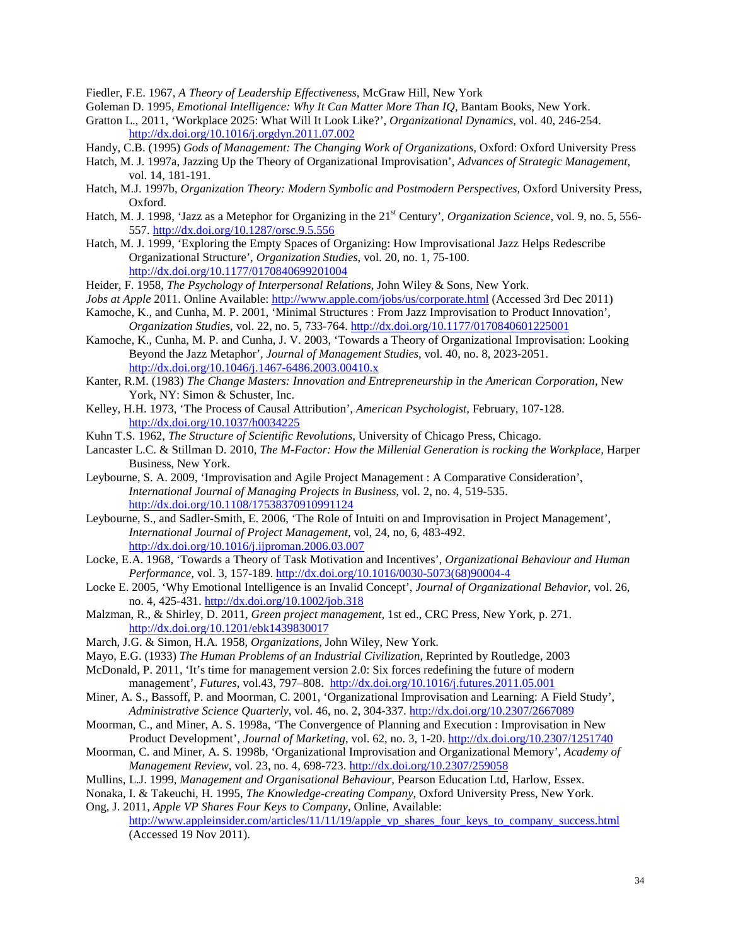Fiedler, F.E. 1967, *A Theory of Leadership Effectiveness*, McGraw Hill, New York

- Goleman D. 1995, *Emotional Intelligence: Why It Can Matter More Than IQ*, Bantam Books, New York.
- Gratton L., 2011, 'Workplace 2025: What Will It Look Like?', *Organizational Dynamics*, vol. 40, 246-254. <http://dx.doi.org/10.1016/j.orgdyn.2011.07.002>
- Handy, C.B. (1995) *Gods of Management: The Changing Work of Organizations,* Oxford: Oxford University Press
- Hatch, M. J. 1997a, Jazzing Up the Theory of Organizational Improvisation', *Advances of Strategic Management*, vol. 14, 181-191.
- Hatch, M.J. 1997b, *Organization Theory: Modern Symbolic and Postmodern Perspectives,* Oxford University Press, Oxford.
- Hatch, M. J. 1998, 'Jazz as a Metephor for Organizing in the 21<sup>st</sup> Century', *Organization Science*, vol. 9, no. 5, 556-557. <http://dx.doi.org/10.1287/orsc.9.5.556>
- Hatch, M. J. 1999, 'Exploring the Empty Spaces of Organizing: How Improvisational Jazz Helps Redescribe Organizational Structure', *Organization Studies*, vol. 20, no. 1, 75-100. <http://dx.doi.org/10.1177/0170840699201004>
- Heider, F. 1958, *The Psychology of Interpersonal Relations,* John Wiley & Sons, New York.
- *Jobs at Apple* 2011. Online Available:<http://www.apple.com/jobs/us/corporate.html> (Accessed 3rd Dec 2011)
- Kamoche, K., and Cunha, M. P. 2001, 'Minimal Structures : From Jazz Improvisation to Product Innovation', *Organization Studies*, vol. 22, no. 5, 733-764. <http://dx.doi.org/10.1177/0170840601225001>
- Kamoche, K., Cunha, M. P. and Cunha, J. V. 2003, 'Towards a Theory of Organizational Improvisation: Looking Beyond the Jazz Metaphor', *Journal of Management Studies*, vol. 40, no. 8, 2023-2051. <http://dx.doi.org/10.1046/j.1467-6486.2003.00410.x>
- Kanter, R.M. (1983) *The Change Masters: Innovation and Entrepreneurship in the American Corporation,* New York, NY: Simon & Schuster, Inc.
- Kelley, H.H. 1973, 'The Process of Causal Attribution', *American Psychologist,* February, 107-128. <http://dx.doi.org/10.1037/h0034225>
- Kuhn T.S. 1962, *The Structure of Scientific Revolutions,* University of Chicago Press, Chicago.
- Lancaster L.C. & Stillman D. 2010, *The M-Factor: How the Millenial Generation is rocking the Workplace,* Harper Business, New York.
- Leybourne, S. A. 2009, 'Improvisation and Agile Project Management : A Comparative Consideration', *International Journal of Managing Projects in Business*, vol. 2, no. 4, 519-535. <http://dx.doi.org/10.1108/17538370910991124>
- Leybourne, S., and Sadler-Smith, E. 2006, 'The Role of Intuiti on and Improvisation in Project Management', *International Journal of Project Management*, vol, 24, no, 6, 483-492. <http://dx.doi.org/10.1016/j.ijproman.2006.03.007>
- Locke, E.A. 1968, 'Towards a Theory of Task Motivation and Incentives', *Organizational Behaviour and Human Performance,* vol. 3, 157-189. [http://dx.doi.org/10.1016/0030-5073\(68\)90004-4](http://dx.doi.org/10.1016/0030-5073(68)90004-4)
- Locke E. 2005, 'Why Emotional Intelligence is an Invalid Concept', *Journal of Organizational Behavior,* vol. 26, no. 4, 425-431. <http://dx.doi.org/10.1002/job.318>
- Malzman, R., & Shirley, D. 2011, *Green project management,* 1st ed., CRC Press, New York, p. 271. <http://dx.doi.org/10.1201/ebk1439830017>
- March, J.G. & Simon, H.A. 1958, *Organizations,* John Wiley, New York.
- Mayo, E.G. (1933) *The Human Problems of an Industrial Civilization*, Reprinted by Routledge, 2003
- McDonald, P. 2011, 'It's time for management version 2.0: Six forces redefining the future of modern management', *Futures,* vol.43, 797–808. <http://dx.doi.org/10.1016/j.futures.2011.05.001>
- Miner, A. S., Bassoff, P. and Moorman, C. 2001, 'Organizational Improvisation and Learning: A Field Study', *Administrative Science Quarterly*, vol. 46, no. 2, 304-337. <http://dx.doi.org/10.2307/2667089>
- Moorman, C., and Miner, A. S. 1998a, 'The Convergence of Planning and Execution : Improvisation in New Product Development', *Journal of Marketing*, vol. 62, no. 3, 1-20. <http://dx.doi.org/10.2307/1251740>
- Moorman, C. and Miner, A. S. 1998b, 'Organizational Improvisation and Organizational Memory', *Academy of Management Review*, vol. 23, no. 4, 698-723. <http://dx.doi.org/10.2307/259058>
- Mullins, L.J. 1999, *Management and Organisational Behaviour*, Pearson Education Ltd, Harlow, Essex.
- Nonaka, I. & Takeuchi, H. 1995, *The Knowledge-creating Company*, Oxford University Press, New York. Ong, J. 2011, *Apple VP Shares Four Keys to Company*, Online, Available:
	- [http://www.appleinsider.com/articles/11/11/19/apple\\_vp\\_shares\\_four\\_keys\\_to\\_company\\_success.html](http://www.appleinsider.com/articles/11/11/19/apple_vp_shares_four_keys_to_company_success.html) (Accessed 19 Nov 2011).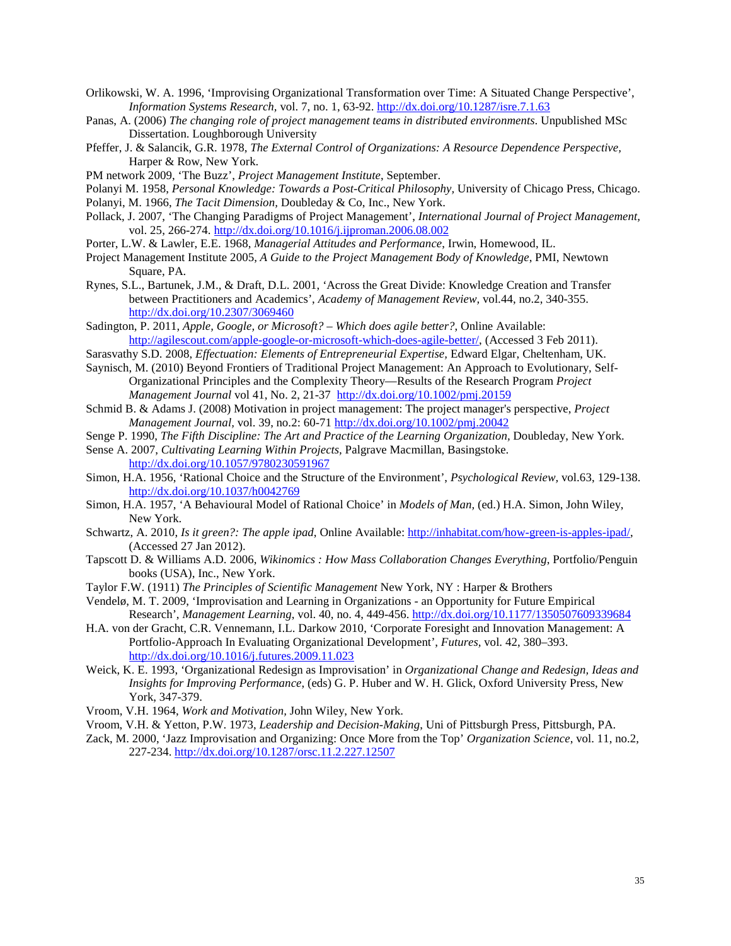- Orlikowski, W. A. 1996, 'Improvising Organizational Transformation over Time: A Situated Change Perspective', *Information Systems Research,* vol. 7, no. 1, 63-92. <http://dx.doi.org/10.1287/isre.7.1.63>
- Panas, A. (2006) *The changing role of project management teams in distributed environments*. Unpublished MSc Dissertation. Loughborough University
- Pfeffer, J. & Salancik, G.R. 1978, *The External Control of Organizations: A Resource Dependence Perspective,* Harper & Row, New York.
- PM network 2009, 'The Buzz', *Project Management Institute*, September.
- Polanyi M. 1958, *Personal Knowledge: Towards a Post-Critical Philosophy,* University of Chicago Press, Chicago.
- Polanyi, M. 1966, *The Tacit Dimension,* Doubleday & Co, Inc., New York.
- Pollack, J. 2007, 'The Changing Paradigms of Project Management', *International Journal of Project Management,* vol. 25, 266-274. <http://dx.doi.org/10.1016/j.ijproman.2006.08.002>
- Porter, L.W. & Lawler, E.E. 1968, *Managerial Attitudes and Performance*, Irwin, Homewood, IL.
- Project Management Institute 2005, *A Guide to the Project Management Body of Knowledge*, PMI, Newtown Square, PA.
- Rynes, S.L., Bartunek, J.M., & Draft, D.L. 2001, 'Across the Great Divide: Knowledge Creation and Transfer between Practitioners and Academics', *Academy of Management Review,* vol.44, no.2, 340-355. <http://dx.doi.org/10.2307/3069460>
- Sadington, P. 2011, *Apple, Google, or Microsoft? – Which does agile better?*, Online Available: [http://agilescout.com/apple-google-or-microsoft-which-does-agile-better/,](http://agilescout.com/apple-google-or-microsoft-which-does-agile-better/) (Accessed 3 Feb 2011).
- Sarasvathy S.D. 2008, *Effectuation: Elements of Entrepreneurial Expertise,* Edward Elgar, Cheltenham, UK.
- Saynisch, M. (2010) Beyond Frontiers of Traditional Project Management: An Approach to Evolutionary, Self-Organizational Principles and the Complexity Theory—Results of the Research Program *Project Management Journal* vol 41, No. 2, 21-37 <http://dx.doi.org/10.1002/pmj.20159>
- Schmid B. & Adams J. (2008) Motivation in project management: The project manager's perspective, *Project Management Journal,* vol. 39, no.2: 60-71<http://dx.doi.org/10.1002/pmj.20042>
- Senge P. 1990, *The Fifth Discipline: The Art and Practice of the Learning Organization,* Doubleday, New York.
- Sense A. 2007, *Cultivating Learning Within Projects,* Palgrave Macmillan, Basingstoke. <http://dx.doi.org/10.1057/9780230591967>
- Simon, H.A. 1956, 'Rational Choice and the Structure of the Environment', *Psychological Review,* vol.63, 129-138. <http://dx.doi.org/10.1037/h0042769>
- Simon, H.A. 1957, 'A Behavioural Model of Rational Choice' in *Models of Man,* (ed.) H.A. Simon, John Wiley, New York.
- Schwartz, A. 2010, *Is it green?: The apple ipad*, Online Available[: http://inhabitat.com/how-green-is-apples-ipad/,](http://inhabitat.com/how-green-is-apples-ipad/) (Accessed 27 Jan 2012).
- Tapscott D. & Williams A.D. 2006, *Wikinomics : How Mass Collaboration Changes Everything*, Portfolio/Penguin books (USA), Inc., New York.
- Taylor F.W. (1911) *The Principles of Scientific Management* New York, NY : Harper & Brothers
- Vendelø, M. T. 2009, 'Improvisation and Learning in Organizations an Opportunity for Future Empirical Research', *Management Learning*, vol. 40, no. 4, 449-456. <http://dx.doi.org/10.1177/1350507609339684>
- H.A. von der Gracht, C.R. Vennemann, I.L. Darkow 2010, 'Corporate Foresight and Innovation Management: A Portfolio-Approach In Evaluating Organizational Development', *Futures,* vol. 42, 380–393. <http://dx.doi.org/10.1016/j.futures.2009.11.023>
- Weick, K. E. 1993, 'Organizational Redesign as Improvisation' in *Organizational Change and Redesign, Ideas and Insights for Improving Performance*, (eds) G. P. Huber and W. H. Glick, Oxford University Press, New York, 347-379.
- Vroom, V.H. 1964, *Work and Motivation,* John Wiley, New York.
- Vroom, V.H. & Yetton, P.W. 1973, *Leadership and Decision-Making*, Uni of Pittsburgh Press, Pittsburgh, PA.
- Zack, M. 2000, 'Jazz Improvisation and Organizing: Once More from the Top' *Organization Science*, vol. 11, no.2, 227-234. <http://dx.doi.org/10.1287/orsc.11.2.227.12507>